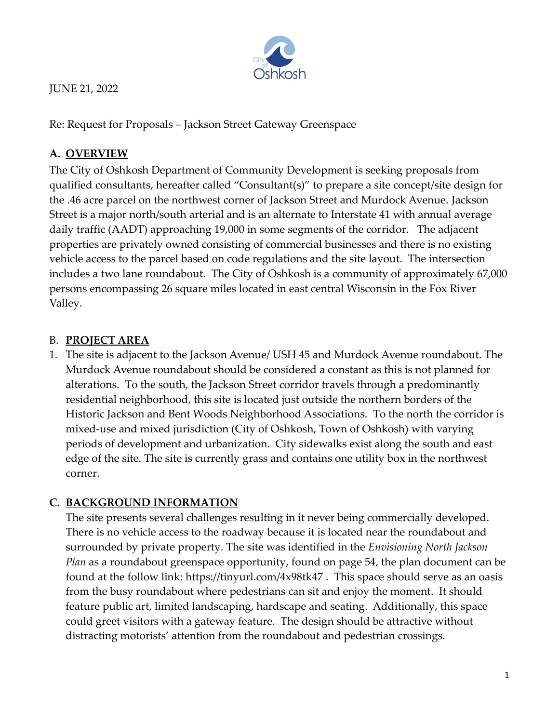

JUNE 21, 2022

Re: Request for Proposals – Jackson Street Gateway Greenspace

# **A. OVERVIEW**

The City of Oshkosh Department of Community Development is seeking proposals from qualified consultants, hereafter called "Consultant(s)" to prepare a site concept/site design for the .46 acre parcel on the northwest corner of Jackson Street and Murdock Avenue. Jackson Street is a major north/south arterial and is an alternate to Interstate 41 with annual average daily traffic (AADT) approaching 19,000 in some segments of the corridor. The adjacent properties are privately owned consisting of commercial businesses and there is no existing vehicle access to the parcel based on code regulations and the site layout. The intersection includes a two lane roundabout. The City of Oshkosh is a community of approximately 67,000 persons encompassing 26 square miles located in east central Wisconsin in the Fox River Valley.

## B. **PROJECT AREA**

1. The site is adjacent to the Jackson Avenue/ USH 45 and Murdock Avenue roundabout. The Murdock Avenue roundabout should be considered a constant as this is not planned for alterations. To the south, the Jackson Street corridor travels through a predominantly residential neighborhood, this site is located just outside the northern borders of the Historic Jackson and Bent Woods Neighborhood Associations. To the north the corridor is mixed-use and mixed jurisdiction (City of Oshkosh, Town of Oshkosh) with varying periods of development and urbanization. City sidewalks exist along the south and east edge of the site. The site is currently grass and contains one utility box in the northwest corner.

# **C. BACKGROUND INFORMATION**

The site presents several challenges resulting in it never being commercially developed. There is no vehicle access to the roadway because it is located near the roundabout and surrounded by private property. The site was identified in the *Envisioning North Jackson Plan* as a roundabout greenspace opportunity, found on page 54, the plan document can be found at the follow link: <https://tinyurl.com/4x98tk47> . This space should serve as an oasis from the busy roundabout where pedestrians can sit and enjoy the moment. It should feature public art, limited landscaping, hardscape and seating. Additionally, this space could greet visitors with a gateway feature. The design should be attractive without distracting motorists' attention from the roundabout and pedestrian crossings.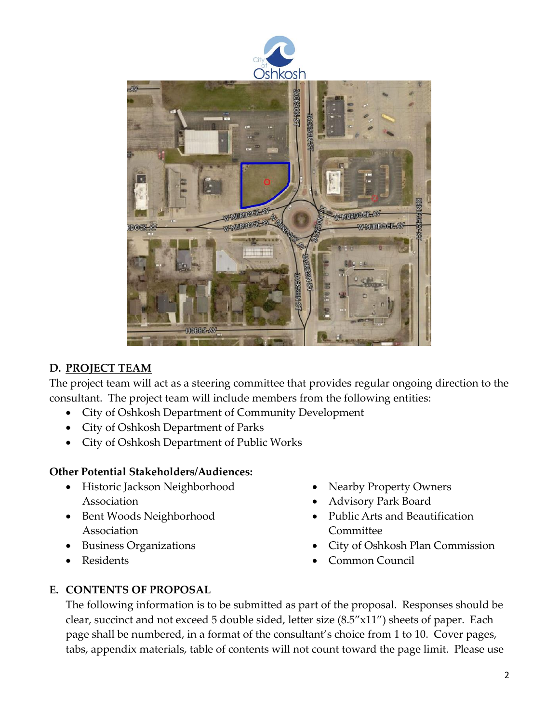

### **D. PROJECT TEAM**

The project team will act as a steering committee that provides regular ongoing direction to the consultant. The project team will include members from the following entities:

- City of Oshkosh Department of Community Development
- City of Oshkosh Department of Parks
- City of Oshkosh Department of Public Works

#### **Other Potential Stakeholders/Audiences:**

- Historic Jackson Neighborhood Association
- Bent Woods Neighborhood Association
- Business Organizations
- Residents
- Nearby Property Owners
- Advisory Park Board
- Public Arts and Beautification Committee
- City of Oshkosh Plan Commission
- Common Council

# **E. CONTENTS OF PROPOSAL**

The following information is to be submitted as part of the proposal. Responses should be clear, succinct and not exceed 5 double sided, letter size (8.5"x11") sheets of paper. Each page shall be numbered, in a format of the consultant's choice from 1 to 10. Cover pages, tabs, appendix materials, table of contents will not count toward the page limit. Please use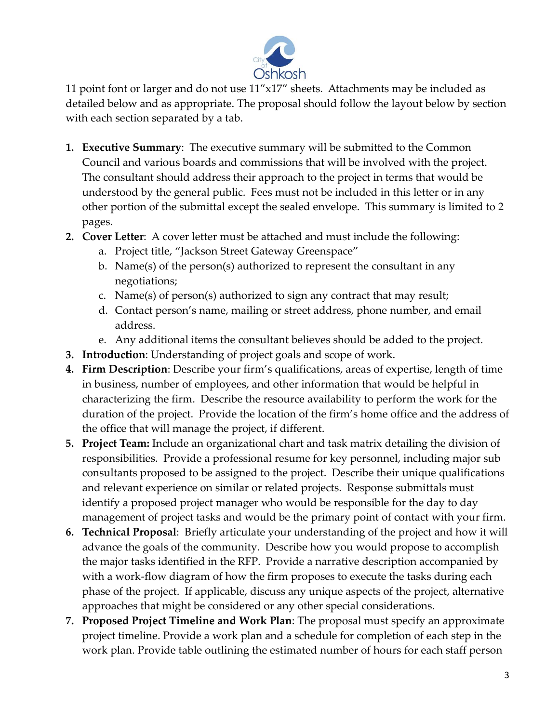

11 point font or larger and do not use  $11''x17''$  sheets. Attachments may be included as detailed below and as appropriate. The proposal should follow the layout below by section with each section separated by a tab.

- **1. Executive Summary**: The executive summary will be submitted to the Common Council and various boards and commissions that will be involved with the project. The consultant should address their approach to the project in terms that would be understood by the general public. Fees must not be included in this letter or in any other portion of the submittal except the sealed envelope. This summary is limited to 2 pages.
- **2. Cover Letter**: A cover letter must be attached and must include the following:
	- a. Project title, "Jackson Street Gateway Greenspace"
	- b. Name(s) of the person(s) authorized to represent the consultant in any negotiations;
	- c. Name(s) of person(s) authorized to sign any contract that may result;
	- d. Contact person's name, mailing or street address, phone number, and email address.
	- e. Any additional items the consultant believes should be added to the project.
- **3. Introduction**: Understanding of project goals and scope of work.
- **4. Firm Description**: Describe your firm's qualifications, areas of expertise, length of time in business, number of employees, and other information that would be helpful in characterizing the firm. Describe the resource availability to perform the work for the duration of the project. Provide the location of the firm's home office and the address of the office that will manage the project, if different.
- **5. Project Team:** Include an organizational chart and task matrix detailing the division of responsibilities. Provide a professional resume for key personnel, including major sub consultants proposed to be assigned to the project. Describe their unique qualifications and relevant experience on similar or related projects. Response submittals must identify a proposed project manager who would be responsible for the day to day management of project tasks and would be the primary point of contact with your firm.
- **6. Technical Proposal**: Briefly articulate your understanding of the project and how it will advance the goals of the community. Describe how you would propose to accomplish the major tasks identified in the RFP. Provide a narrative description accompanied by with a work-flow diagram of how the firm proposes to execute the tasks during each phase of the project. If applicable, discuss any unique aspects of the project, alternative approaches that might be considered or any other special considerations.
- **7. Proposed Project Timeline and Work Plan**: The proposal must specify an approximate project timeline. Provide a work plan and a schedule for completion of each step in the work plan. Provide table outlining the estimated number of hours for each staff person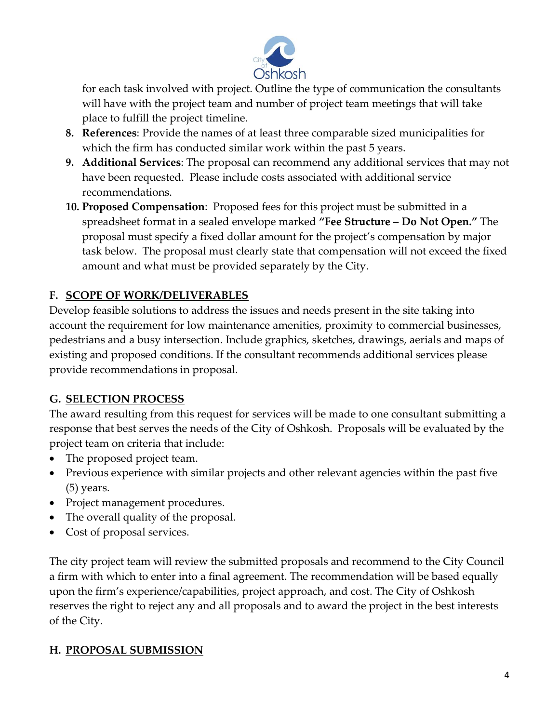

for each task involved with project. Outline the type of communication the consultants will have with the project team and number of project team meetings that will take place to fulfill the project timeline.

- **8. References**: Provide the names of at least three comparable sized municipalities for which the firm has conducted similar work within the past 5 years.
- **9. Additional Services**: The proposal can recommend any additional services that may not have been requested. Please include costs associated with additional service recommendations.
- **10. Proposed Compensation**: Proposed fees for this project must be submitted in a spreadsheet format in a sealed envelope marked **"Fee Structure – Do Not Open."** The proposal must specify a fixed dollar amount for the project's compensation by major task below. The proposal must clearly state that compensation will not exceed the fixed amount and what must be provided separately by the City.

# **F. SCOPE OF WORK/DELIVERABLES**

Develop feasible solutions to address the issues and needs present in the site taking into account the requirement for low maintenance amenities, proximity to commercial businesses, pedestrians and a busy intersection. Include graphics, sketches, drawings, aerials and maps of existing and proposed conditions. If the consultant recommends additional services please provide recommendations in proposal.

# **G. SELECTION PROCESS**

The award resulting from this request for services will be made to one consultant submitting a response that best serves the needs of the City of Oshkosh. Proposals will be evaluated by the project team on criteria that include:

- The proposed project team.
- Previous experience with similar projects and other relevant agencies within the past five (5) years.
- Project management procedures.
- The overall quality of the proposal.
- Cost of proposal services.

The city project team will review the submitted proposals and recommend to the City Council a firm with which to enter into a final agreement. The recommendation will be based equally upon the firm's experience/capabilities, project approach, and cost. The City of Oshkosh reserves the right to reject any and all proposals and to award the project in the best interests of the City.

# **H. PROPOSAL SUBMISSION**